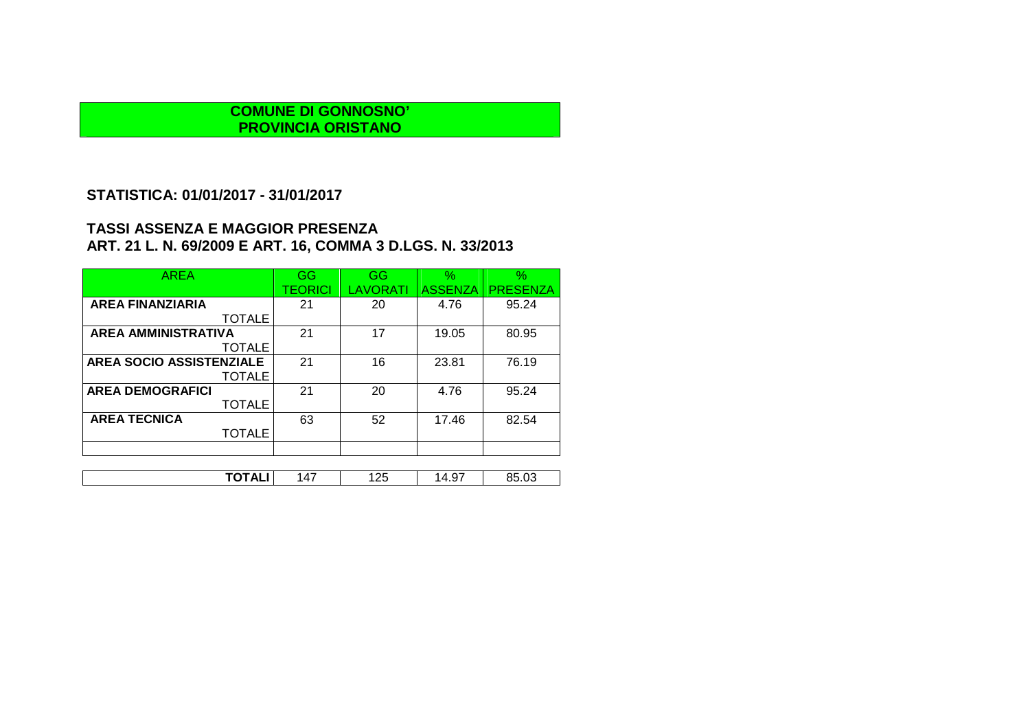### **STATISTICA: 01/01/2017 - 31/01/2017**

| <b>AREA</b>                | GG      | <b>GG</b>       | $\%$           | $\%$            |
|----------------------------|---------|-----------------|----------------|-----------------|
|                            | TEORICI | <b>LAVORATI</b> | <b>ASSENZA</b> | <b>PRESENZA</b> |
| <b>AREA FINANZIARIA</b>    | 21      | 20              | 4.76           | 95.24           |
| <b>TOTALE</b>              |         |                 |                |                 |
| <b>AREA AMMINISTRATIVA</b> | 21      | 17              | 19.05          | 80.95           |
| <b>TOTALE</b>              |         |                 |                |                 |
| AREA SOCIO ASSISTENZIALE   | 21      | 16              | 23.81          | 76.19           |
| <b>TOTALE</b>              |         |                 |                |                 |
| <b>AREA DEMOGRAFICI</b>    | 21      | 20              | 4.76           | 95.24           |
| <b>TOTALE</b>              |         |                 |                |                 |
| <b>AREA TECNICA</b>        | 63      | 52              | 17.46          | 82.54           |
| <b>TOTALE</b>              |         |                 |                |                 |
|                            |         |                 |                |                 |
|                            |         |                 |                |                 |
| TOTALI                     | 147     | 125             | 14.97          | 85.03           |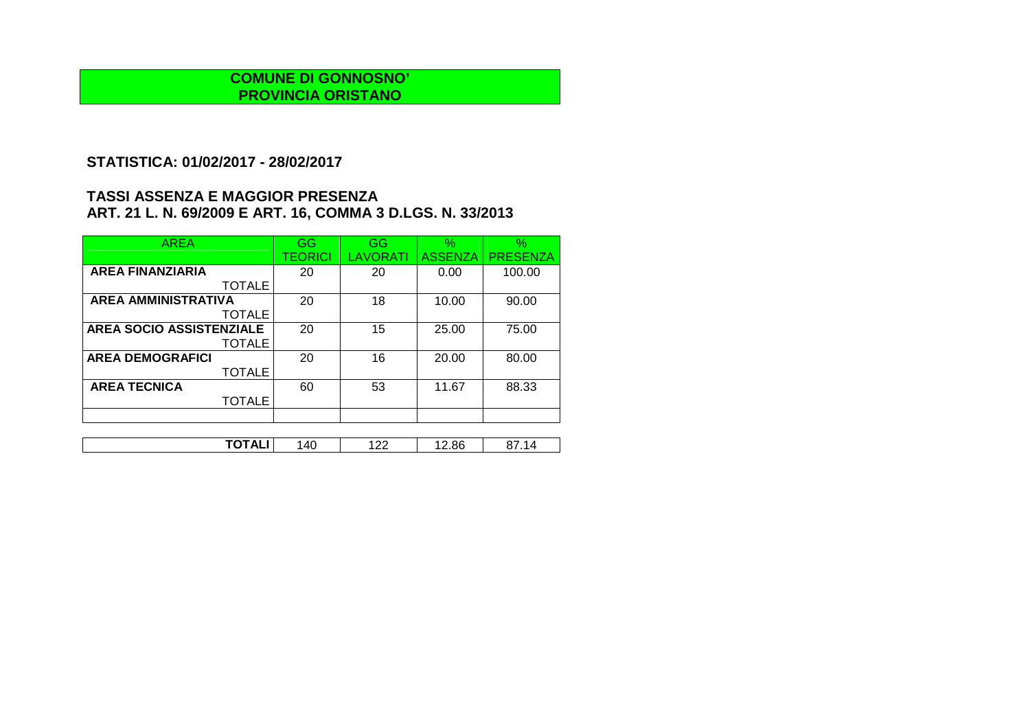## **STATISTICA: 01/02/2017 - 28/02/2017**

| <b>AREA</b>                     | GG      | GG       | $\%$           | $\%$            |
|---------------------------------|---------|----------|----------------|-----------------|
|                                 | TEORICI | LAVORATI | <b>ASSENZA</b> | <b>PRESENZA</b> |
| <b>AREA FINANZIARIA</b>         | 20      | 20       | 0.00           | 100.00          |
| <b>TOTALE</b>                   |         |          |                |                 |
| <b>AREA AMMINISTRATIVA</b>      | 20      | 18       | 10.00          | 90.00           |
| <b>TOTALE</b>                   |         |          |                |                 |
| <b>AREA SOCIO ASSISTENZIALE</b> | 20      | 15       | 25.00          | 75.00           |
| <b>TOTALE</b>                   |         |          |                |                 |
| <b>AREA DEMOGRAFICI</b>         | 20      | 16       | 20.00          | 80.00           |
| <b>TOTALE</b>                   |         |          |                |                 |
| <b>AREA TECNICA</b>             | 60      | 53       | 11.67          | 88.33           |
| <b>TOTALE</b>                   |         |          |                |                 |
|                                 |         |          |                |                 |

| .<br>---                 | $\Delta$ | $\sim$    | ັ<br>. .   |  |
|--------------------------|----------|-----------|------------|--|
| $\overline{\phantom{a}}$ | `        | <u>__</u> | ---<br>___ |  |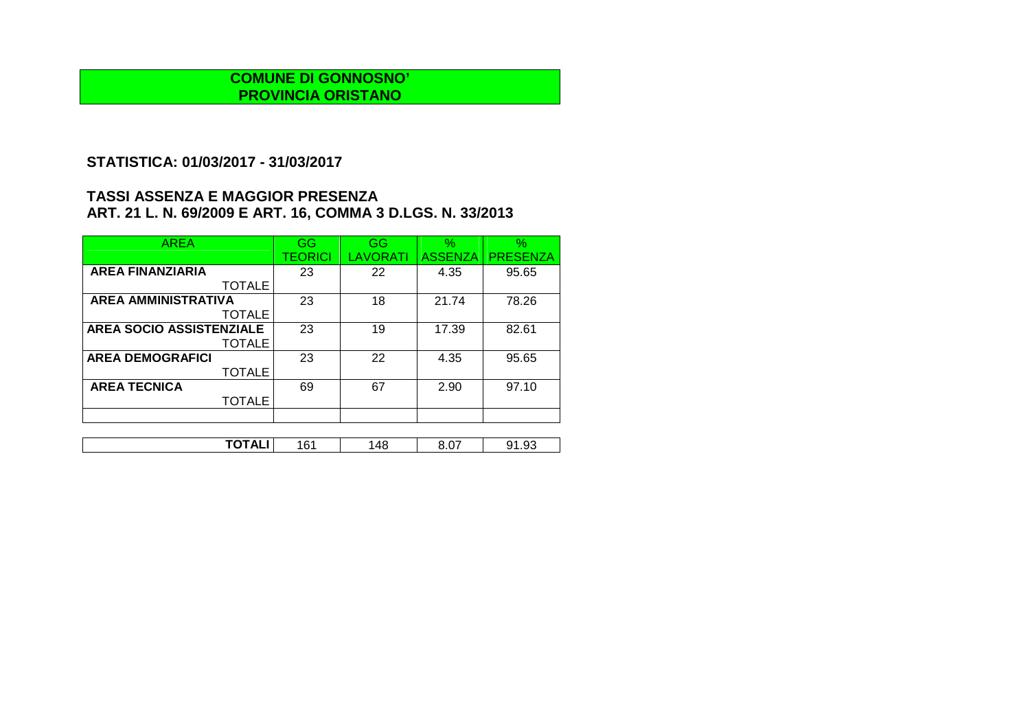# **STATISTICA: 01/03/2017 - 31/03/2017**

| <b>AREA</b>                     | GG             | GG       | $\%$           | $\%$            |
|---------------------------------|----------------|----------|----------------|-----------------|
|                                 | <b>TEORICI</b> | LAVORATI | <b>ASSENZA</b> | <b>PRESENZA</b> |
| <b>AREA FINANZIARIA</b>         | 23             | 22       | 4.35           | 95.65           |
| <b>TOTALE</b>                   |                |          |                |                 |
| <b>AREA AMMINISTRATIVA</b>      | 23             | 18       | 21.74          | 78.26           |
| <b>TOTALE</b>                   |                |          |                |                 |
| <b>AREA SOCIO ASSISTENZIALE</b> | 23             | 19       | 17.39          | 82.61           |
| <b>TOTALE</b>                   |                |          |                |                 |
| <b>AREA DEMOGRAFICI</b>         | 23             | 22       | 4.35           | 95.65           |
| <b>TOTALE</b>                   |                |          |                |                 |
| <b>AREA TECNICA</b>             | 69             | 67       | 2.90           | 97.10           |
| <b>TOTALE</b>                   |                |          |                |                 |
|                                 |                |          |                |                 |

| -----                    |           |    | $\sim$ $-$ | n,  |
|--------------------------|-----------|----|------------|-----|
| $\overline{\phantom{a}}$ | ำ<br>ו שי | 48 | v.v.       | . ت |
|                          |           |    |            |     |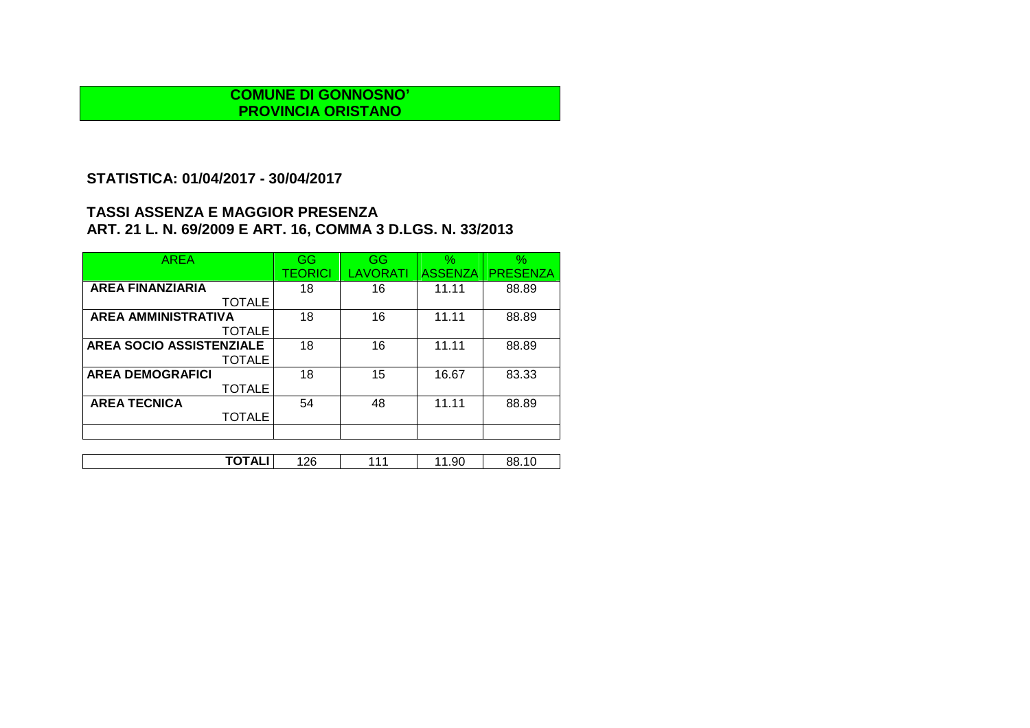## **STATISTICA: 01/04/2017 - 30/04/2017**

| <b>AREA</b>                | GG      | GG              | $\%$           | $\%$            |
|----------------------------|---------|-----------------|----------------|-----------------|
|                            | TEORICI | <b>LAVORATI</b> | <b>ASSENZA</b> | <b>PRESENZA</b> |
| <b>AREA FINANZIARIA</b>    | 18      | 16              | 11.11          | 88.89           |
| <b>TOTALE</b>              |         |                 |                |                 |
| <b>AREA AMMINISTRATIVA</b> | 18      | 16              | 11.11          | 88.89           |
| <b>TOTALE</b>              |         |                 |                |                 |
| AREA SOCIO ASSISTENZIALE   | 18      | 16              | 11.11          | 88.89           |
| <b>TOTALE</b>              |         |                 |                |                 |
| <b>AREA DEMOGRAFICI</b>    | 18      | 15              | 16.67          | 83.33           |
| <b>TOTALE</b>              |         |                 |                |                 |
| <b>AREA TECNICA</b>        | 54      | 48              | 11.11          | 88.89           |
| <b>TOTALE</b>              |         |                 |                |                 |
|                            |         |                 |                |                 |
|                            |         |                 |                |                 |

| $\begin{array}{c} \n\text{}\\ \n\end{array}$<br>າດ<br>JO.<br>-<br><b>IOIALI</b><br>u.<br>חנ<br>. د ب<br>ان ۱۰<br>__ |
|---------------------------------------------------------------------------------------------------------------------|
|---------------------------------------------------------------------------------------------------------------------|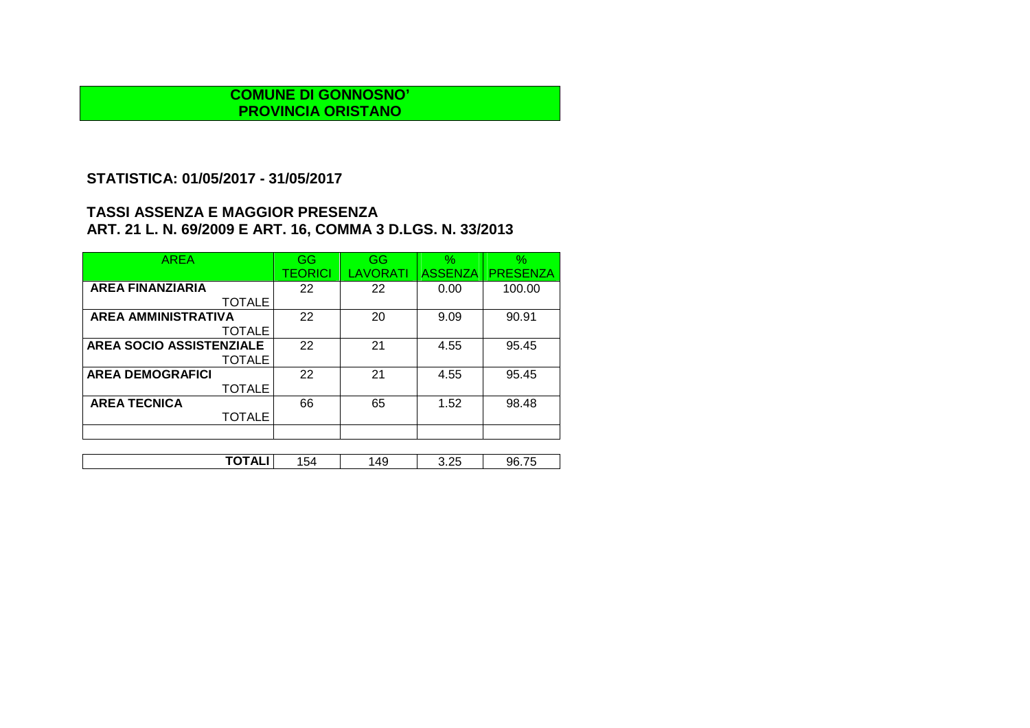# **STATISTICA: 01/05/2017 - 31/05/2017**

| <b>AREA</b>                | GG      | GG       | $\%$           | $\%$            |
|----------------------------|---------|----------|----------------|-----------------|
|                            | TEORICI | LAVORATI | <b>ASSENZA</b> | <b>PRESENZA</b> |
| <b>AREA FINANZIARIA</b>    | 22      | 22       | 0.00           | 100.00          |
| <b>TOTALE</b>              |         |          |                |                 |
| <b>AREA AMMINISTRATIVA</b> | 22      | 20       | 9.09           | 90.91           |
| <b>TOTALE</b>              |         |          |                |                 |
| AREA SOCIO ASSISTENZIALE   | 22      | 21       | 4.55           | 95.45           |
| <b>TOTALE</b>              |         |          |                |                 |
| <b>AREA DEMOGRAFICI</b>    | 22      | 21       | 4.55           | 95.45           |
| <b>TOTALE</b>              |         |          |                |                 |
| <b>AREA TECNICA</b>        | 66      | 65       | 1.52           | 98.48           |
| <b>TOTALE</b>              |         |          |                |                 |
|                            |         |          |                |                 |
|                            |         |          |                |                 |

| -----<br>$\sim$<br>つら<br>.49<br>–<br>96.75<br>A.<br>154<br>∼<br>∪.∠∪<br>. .<br>. <del>.</del> |
|-----------------------------------------------------------------------------------------------|
|-----------------------------------------------------------------------------------------------|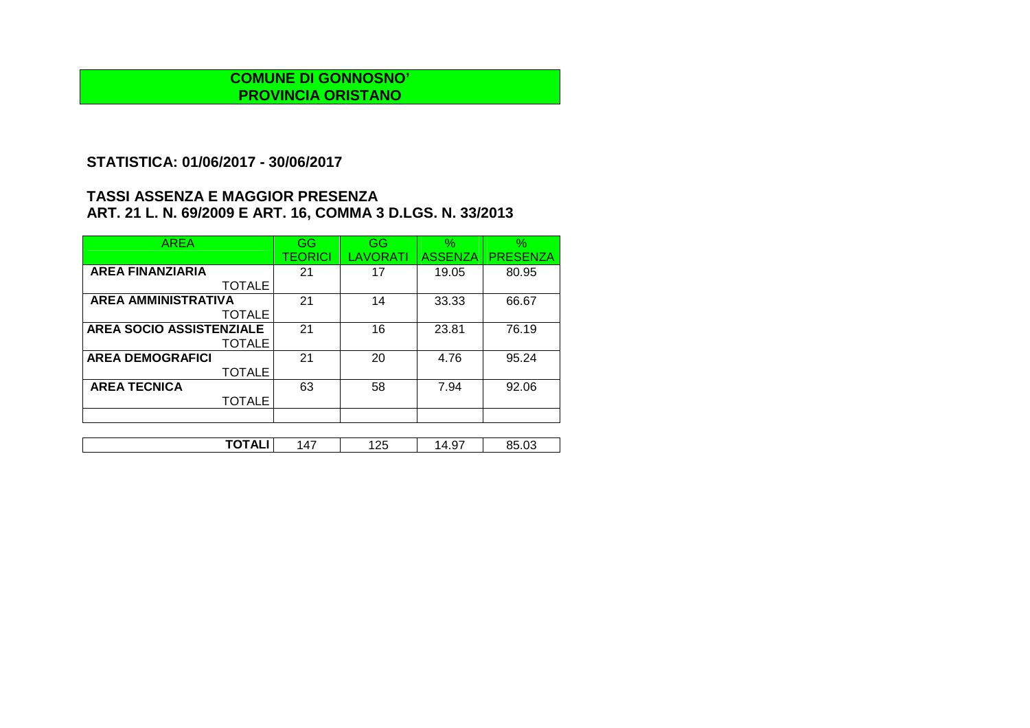## **STATISTICA: 01/06/2017 - 30/06/2017**

| <b>AREA</b>                     | GG             | GG       | $\%$           | $\%$            |
|---------------------------------|----------------|----------|----------------|-----------------|
|                                 | <b>TEORICI</b> | LAVORATI | <b>ASSENZA</b> | <b>PRESENZA</b> |
| <b>AREA FINANZIARIA</b>         | 21             | 17       | 19.05          | 80.95           |
| <b>TOTALE</b>                   |                |          |                |                 |
| <b>AREA AMMINISTRATIVA</b>      | 21             | 14       | 33.33          | 66.67           |
| <b>TOTALE</b>                   |                |          |                |                 |
| <b>AREA SOCIO ASSISTENZIALE</b> | 21             | 16       | 23.81          | 76.19           |
| <b>TOTALE</b>                   |                |          |                |                 |
| <b>AREA DEMOGRAFICI</b>         | 21             | 20       | 4.76           | 95.24           |
| <b>TOTALE</b>                   |                |          |                |                 |
| <b>AREA TECNICA</b>             | 63             | 58       | 7.94           | 92.06           |
| <b>TOTALE</b>                   |                |          |                |                 |
|                                 |                |          |                |                 |

| -----<br>──<br>. | $\Lambda$ | つに<br>ں ے . | --<br>$\epsilon$<br>7.JI | ึ้น∍ |
|------------------|-----------|-------------|--------------------------|------|
|                  |           |             |                          |      |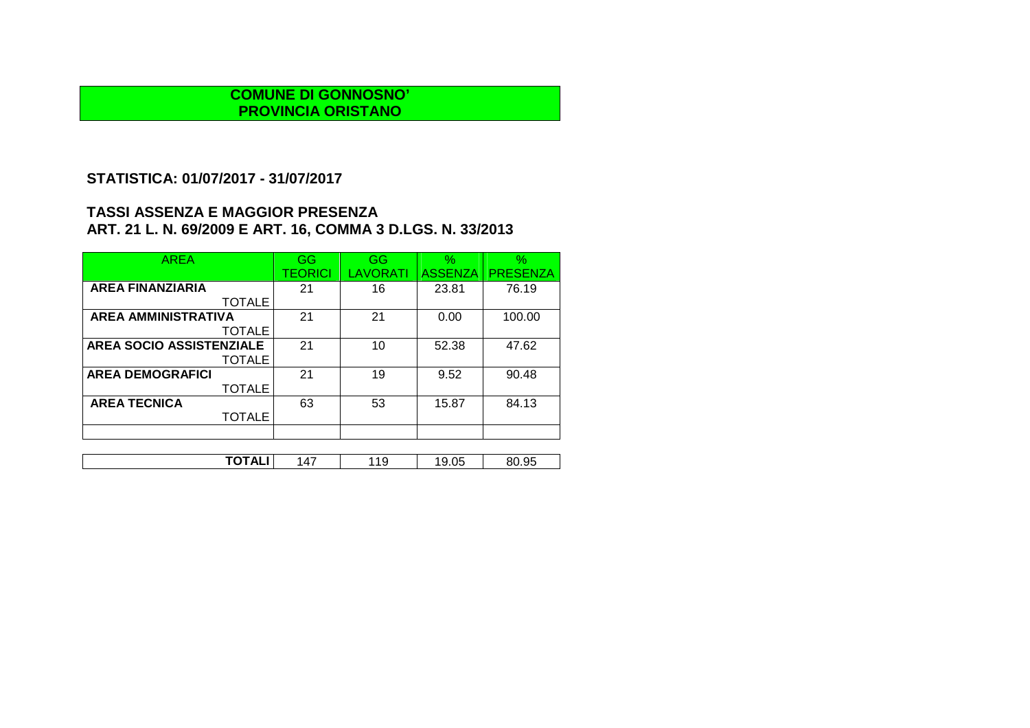# **STATISTICA: 01/07/2017 - 31/07/2017**

| <b>AREA</b>                | GG             | GG       | $\%$           | $\frac{9}{6}$   |
|----------------------------|----------------|----------|----------------|-----------------|
|                            | <b>TEORICI</b> | LAVORATI | <b>ASSENZA</b> | <b>PRESENZA</b> |
| <b>AREA FINANZIARIA</b>    | 21             | 16       | 23.81          | 76.19           |
| <b>TOTALE</b>              |                |          |                |                 |
| <b>AREA AMMINISTRATIVA</b> | 21             | 21       | 0.00           | 100.00          |
| <b>TOTALE</b>              |                |          |                |                 |
| AREA SOCIO ASSISTENZIALE   | 21             | 10       | 52.38          | 47.62           |
| <b>TOTALE</b>              |                |          |                |                 |
| <b>AREA DEMOGRAFICI</b>    | 21             | 19       | 9.52           | 90.48           |
| <b>TOTALE</b>              |                |          |                |                 |
| <b>AREA TECNICA</b>        | 63             | 53       | 15.87          | 84.13           |
| <b>TOTALE</b>              |                |          |                |                 |
|                            |                |          |                |                 |
|                            |                |          |                |                 |

| TOTAL'<br>95.ر<br>$\rightarrow$<br>$\sim$ $\sim$<br>10<br>- 10<br>14.<br>u<br>י יה<br>.ບບ<br>∼<br>ъ. |  |
|------------------------------------------------------------------------------------------------------|--|
|------------------------------------------------------------------------------------------------------|--|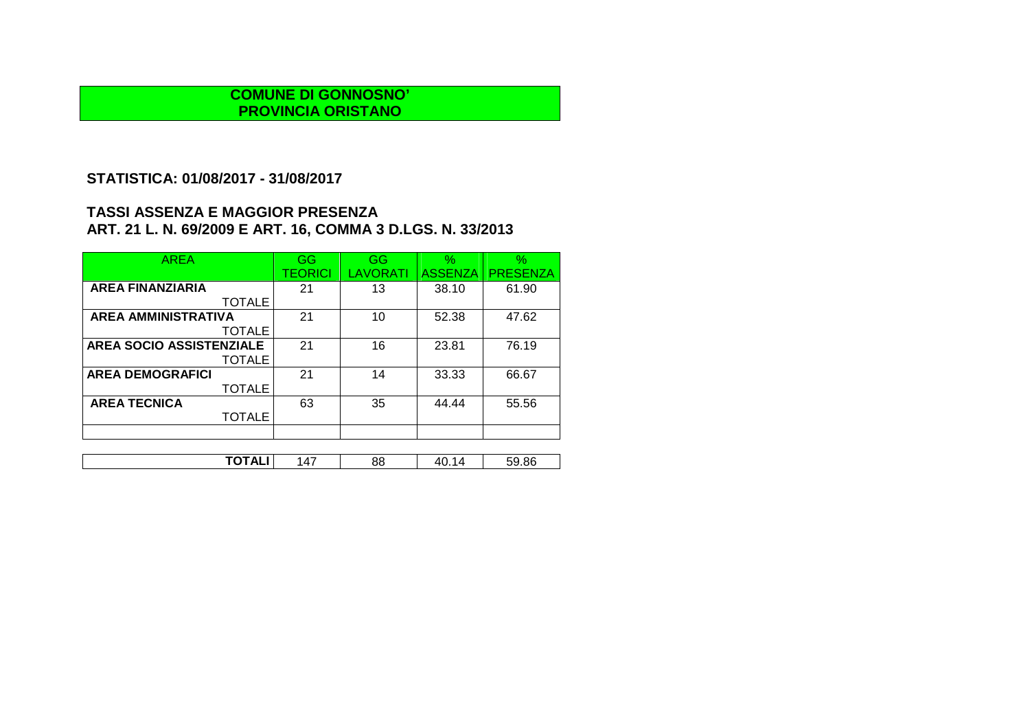# **STATISTICA: 01/08/2017 - 31/08/2017**

| <b>AREA</b>                | GG             | GG              | $\%$           | $\%$            |
|----------------------------|----------------|-----------------|----------------|-----------------|
|                            | <b>TEORICI</b> | <b>LAVORATI</b> | <b>ASSENZA</b> | <b>PRESENZA</b> |
| <b>AREA FINANZIARIA</b>    | 21             | 13              | 38.10          | 61.90           |
| <b>TOTALE</b>              |                |                 |                |                 |
| <b>AREA AMMINISTRATIVA</b> | 21             | 10              | 52.38          | 47.62           |
| <b>TOTALE</b>              |                |                 |                |                 |
| AREA SOCIO ASSISTENZIALE   | 21             | 16              | 23.81          | 76.19           |
| <b>TOTALE</b>              |                |                 |                |                 |
| <b>AREA DEMOGRAFICI</b>    | 21             | 14              | 33.33          | 66.67           |
| <b>TOTALE</b>              |                |                 |                |                 |
| <b>AREA TECNICA</b>        | 63             | 35              | 44.44          | 55.56           |
| <b>TOTALE</b>              |                |                 |                |                 |
|                            |                |                 |                |                 |
|                            |                |                 |                |                 |

| -----<br>.86<br>$\rightarrow$<br>88<br>۱4<br>$\mathbf{v}$<br>41<br>่ง<br>¬∟. |
|------------------------------------------------------------------------------|
|------------------------------------------------------------------------------|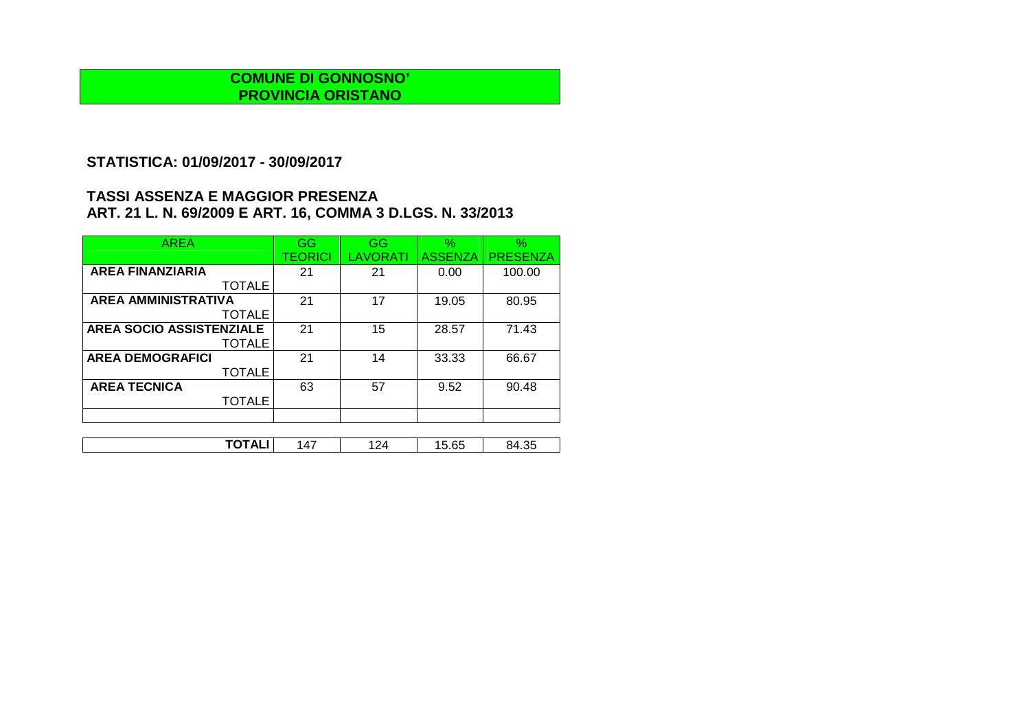## **STATISTICA: 01/09/2017 - 30/09/2017**

| <b>AREA</b>                     | GG      | GG       | $\%$           | $\%$            |
|---------------------------------|---------|----------|----------------|-----------------|
|                                 | TEORICI | LAVORATI | <b>ASSENZA</b> | <b>PRESENZA</b> |
| <b>AREA FINANZIARIA</b>         | 21      | 21       | 0.00           | 100.00          |
| <b>TOTALE</b>                   |         |          |                |                 |
| <b>AREA AMMINISTRATIVA</b>      | 21      | 17       | 19.05          | 80.95           |
| <b>TOTALE</b>                   |         |          |                |                 |
| <b>AREA SOCIO ASSISTENZIALE</b> | 21      | 15       | 28.57          | 71.43           |
| <b>TOTALE</b>                   |         |          |                |                 |
| <b>AREA DEMOGRAFICI</b>         | 21      | 14       | 33.33          | 66.67           |
| <b>TOTALE</b>                   |         |          |                |                 |
| <b>AREA TECNICA</b>             | 63      | 57       | 9.52           | 90.48           |
| TOTALE                          |         |          |                |                 |
|                                 |         |          |                |                 |

| ت ب<br>v.vv<br>∼<br>. | $\sim$ $\sim$ | $\Lambda$ | -<br>י י | $\sim$ $-$<br>. . | ∩г |
|-----------------------|---------------|-----------|----------|-------------------|----|
|                       |               |           |          |                   |    |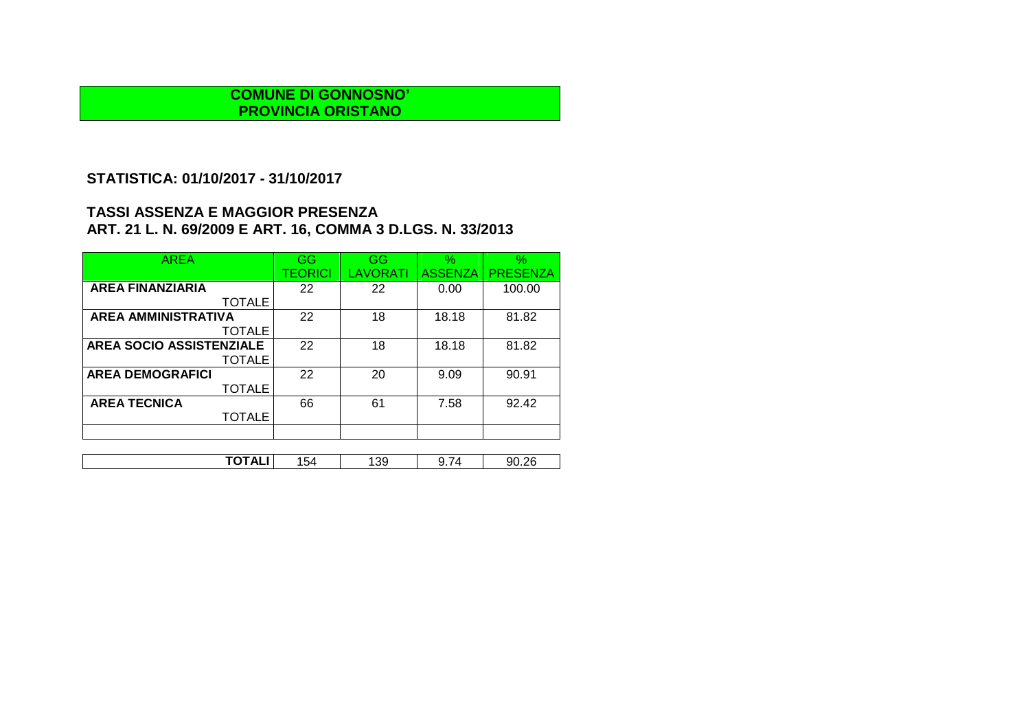# **STATISTICA: 01/10/2017 - 31/10/2017**

| <b>AREA</b>                     | GG      | GG              | $\%$           | $\%$            |
|---------------------------------|---------|-----------------|----------------|-----------------|
|                                 | TEORICI | <b>LAVORATI</b> | <b>ASSENZA</b> | <b>PRESENZA</b> |
| <b>AREA FINANZIARIA</b>         | 22      | 22              | 0.00           | 100.00          |
| <b>TOTALE</b>                   |         |                 |                |                 |
| <b>AREA AMMINISTRATIVA</b>      | 22      | 18              | 18.18          | 81.82           |
| <b>TOTALE</b>                   |         |                 |                |                 |
| <b>AREA SOCIO ASSISTENZIALE</b> | 22      | 18              | 18.18          | 81.82           |
| <b>TOTALE</b>                   |         |                 |                |                 |
| <b>AREA DEMOGRAFICI</b>         | 22      | 20              | 9.09           | 90.91           |
| <b>TOTALE</b>                   |         |                 |                |                 |
| <b>AREA TECNICA</b>             | 66      | 61              | 7.58           | 92.42           |
| <b>TOTALE</b>                   |         |                 |                |                 |
|                                 |         |                 |                |                 |
|                                 |         |                 |                |                 |

| -----<br>.<br>$\overline{\phantom{0}}$<br>ລເ<br>39<br>חר<br>154<br>л.<br>u<br>∼<br>∪.∠<br>◡.≀ |  |
|-----------------------------------------------------------------------------------------------|--|
|-----------------------------------------------------------------------------------------------|--|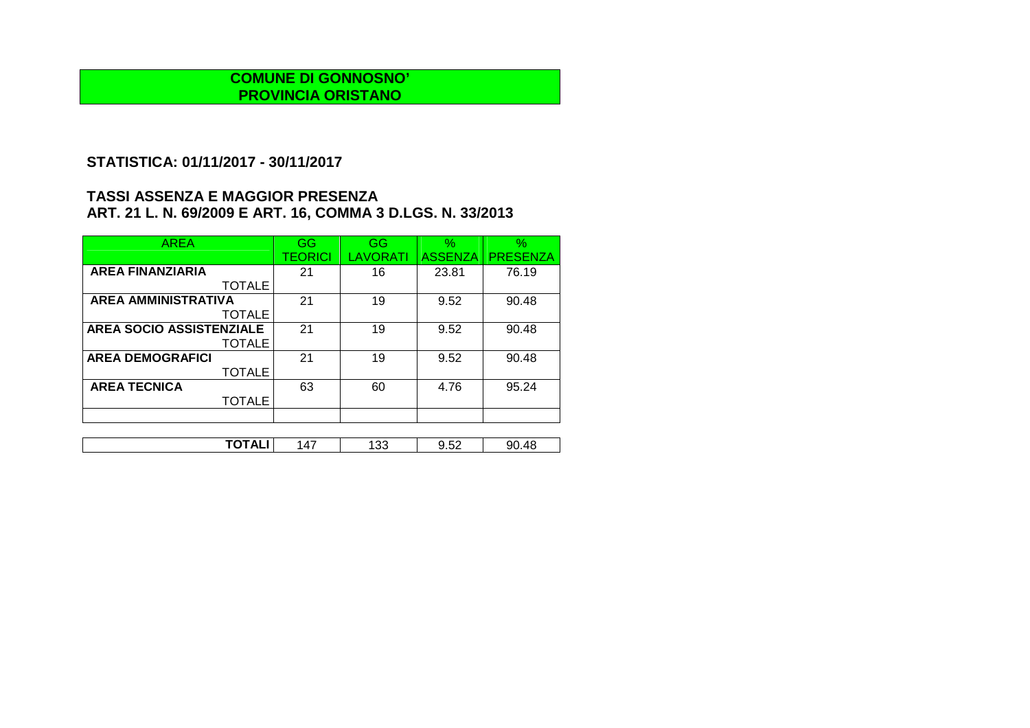# **STATISTICA: 01/11/2017 - 30/11/2017**

| <b>AREA</b>                     | GG      | GG       | $\%$           | $\%$            |
|---------------------------------|---------|----------|----------------|-----------------|
|                                 | TEORICI | LAVORATI | <b>ASSENZA</b> | <b>PRESENZA</b> |
| <b>AREA FINANZIARIA</b>         | 21      | 16       | 23.81          | 76.19           |
| <b>TOTALE</b>                   |         |          |                |                 |
| <b>AREA AMMINISTRATIVA</b>      | 21      | 19       | 9.52           | 90.48           |
| <b>TOTALE</b>                   |         |          |                |                 |
| <b>AREA SOCIO ASSISTENZIALE</b> | 21      | 19       | 9.52           | 90.48           |
| <b>TOTALE</b>                   |         |          |                |                 |
| <b>AREA DEMOGRAFICI</b>         | 21      | 19       | 9.52           | 90.48           |
| <b>TOTALE</b>                   |         |          |                |                 |
| <b>AREA TECNICA</b>             | 63      | 60       | 4.76           | 95.24           |
| <b>TOTALE</b>                   |         |          |                |                 |
|                                 |         |          |                |                 |

| -----<br>$ \sim$<br>$\sim$<br>48<br>qг<br>$\cdot$ $\prime$<br>∽<br>. .<br>ູບ<br>ے<br>¬∟<br>. |  |  |  |
|----------------------------------------------------------------------------------------------|--|--|--|
|                                                                                              |  |  |  |